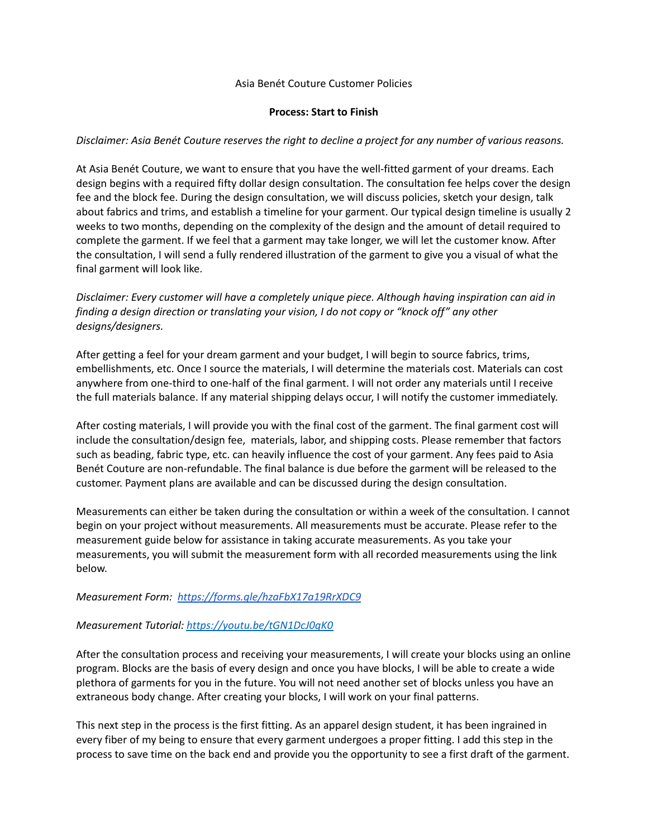## Asia Benét Couture Customer Policies

### **Process: Start to Finish**

## *Disclaimer: Asia Benét Couture reserves the right to decline a project for any number of various reasons.*

At Asia Benét Couture, we want to ensure that you have the well-fitted garment of your dreams. Each design begins with a required fifty dollar design consultation. The consultation fee helps cover the design fee and the block fee. During the design consultation, we will discuss policies, sketch your design, talk about fabrics and trims, and establish a timeline for your garment. Our typical design timeline is usually 2 weeks to two months, depending on the complexity of the design and the amount of detail required to complete the garment. If we feel that a garment may take longer, we will let the customer know. After the consultation, I will send a fully rendered illustration of the garment to give you a visual of what the final garment will look like.

*Disclaimer: Every customer will have a completely unique piece. Although having inspiration can aid in finding a design direction or translating your vision, I do not copy or "knock off" any other designs/designers.*

After getting a feel for your dream garment and your budget, I will begin to source fabrics, trims, embellishments, etc. Once I source the materials, I will determine the materials cost. Materials can cost anywhere from one-third to one-half of the final garment. I will not order any materials until I receive the full materials balance. If any material shipping delays occur, I will notify the customer immediately.

After costing materials, I will provide you with the final cost of the garment. The final garment cost will include the consultation/design fee, materials, labor, and shipping costs. Please remember that factors such as beading, fabric type, etc. can heavily influence the cost of your garment. Any fees paid to Asia Benét Couture are non-refundable. The final balance is due before the garment will be released to the customer. Payment plans are available and can be discussed during the design consultation.

Measurements can either be taken during the consultation or within a week of the consultation. I cannot begin on your project without measurements. All measurements must be accurate. Please refer to the measurement guide below for assistance in taking accurate measurements. As you take your measurements, you will submit the measurement form with all recorded measurements using the link below.

## *Measurement Form: <https://forms.gle/hzaFbX17a19RrXDC9>*

#### *Measurement Tutorial: <https://youtu.be/tGN1DcJ0qK0>*

After the consultation process and receiving your measurements, I will create your blocks using an online program. Blocks are the basis of every design and once you have blocks, I will be able to create a wide plethora of garments for you in the future. You will not need another set of blocks unless you have an extraneous body change. After creating your blocks, I will work on your final patterns.

This next step in the process is the first fitting. As an apparel design student, it has been ingrained in every fiber of my being to ensure that every garment undergoes a proper fitting. I add this step in the process to save time on the back end and provide you the opportunity to see a first draft of the garment.